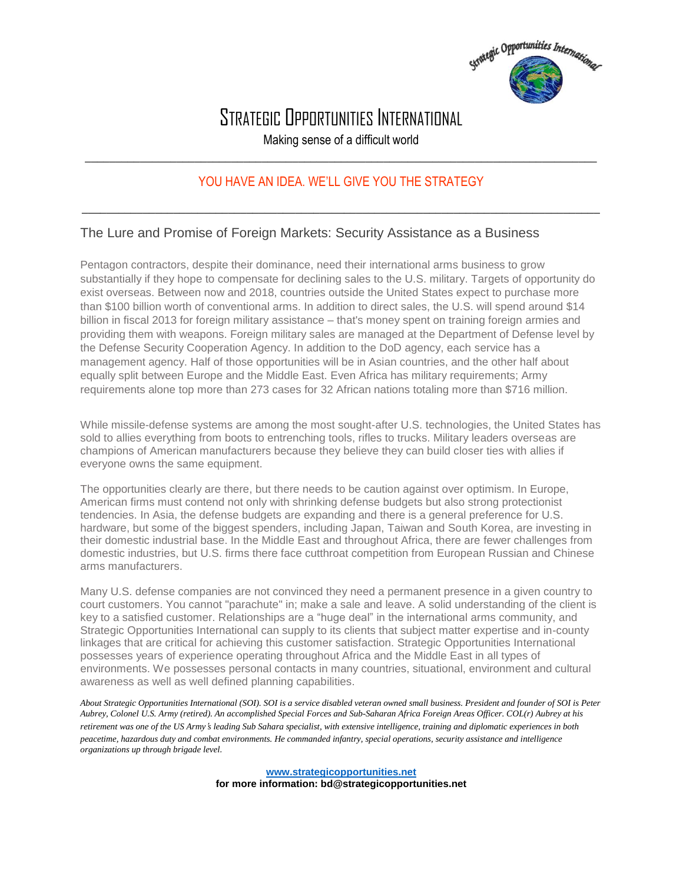

## STRATEGIC OPPORTUNITIES INTERNATIONAL

Making sense of a difficult world \_\_\_\_\_\_\_\_\_\_\_\_\_\_\_\_\_\_\_\_\_\_\_\_\_\_\_\_\_\_\_\_\_\_\_\_\_\_\_\_\_\_\_\_\_\_\_\_\_\_\_\_\_\_\_\_\_\_\_\_\_\_\_\_\_\_\_\_\_\_\_\_\_\_\_\_\_\_\_\_\_\_\_\_

## YOU HAVE AN IDEA. WE'LL GIVE YOU THE STRATEGY

 $\_$  , and the set of the set of the set of the set of the set of the set of the set of the set of the set of the set of the set of the set of the set of the set of the set of the set of the set of the set of the set of th

## The Lure and Promise of Foreign Markets: Security Assistance as a Business

Pentagon contractors, despite their dominance, need their international arms business to grow substantially if they hope to compensate for declining sales to the U.S. military. Targets of opportunity do exist overseas. Between now and 2018, countries outside the United States expect to purchase more than \$100 billion worth of conventional arms. In addition to direct sales, the U.S. will spend around \$14 billion in fiscal 2013 for foreign military assistance – that's money spent on training foreign armies and providing them with weapons. Foreign military sales are managed at the Department of Defense level by the Defense Security Cooperation Agency. In addition to the DoD agency, each service has a management agency. Half of those opportunities will be in Asian countries, and the other half about equally split between Europe and the Middle East. Even Africa has military requirements; Army requirements alone top more than 273 cases for 32 African nations totaling more than \$716 million.

While missile-defense systems are among the most sought-after U.S. technologies, the United States has sold to allies everything from boots to entrenching tools, rifles to trucks. Military leaders overseas are champions of American manufacturers because they believe they can build closer ties with allies if everyone owns the same equipment.

The opportunities clearly are there, but there needs to be caution against over optimism. In Europe, American firms must contend not only with shrinking defense budgets but also strong protectionist tendencies. In Asia, the defense budgets are expanding and there is a general preference for U.S. hardware, but some of the biggest spenders, including Japan, Taiwan and South Korea, are investing in their domestic industrial base. In the Middle East and throughout Africa, there are fewer challenges from domestic industries, but U.S. firms there face cutthroat competition from European Russian and Chinese arms manufacturers.

Many U.S. defense companies are not convinced they need a permanent presence in a given country to court customers. You cannot "parachute" in; make a sale and leave. A solid understanding of the client is key to a satisfied customer. Relationships are a "huge deal" in the international arms community, and Strategic Opportunities International can supply to its clients that subject matter expertise and in-county linkages that are critical for achieving this customer satisfaction. Strategic Opportunities International possesses years of experience operating throughout Africa and the Middle East in all types of environments. We possesses personal contacts in many countries, situational, environment and cultural awareness as well as well defined planning capabilities.

*About Strategic Opportunities International (SOI). SOI is a service disabled veteran owned small business. President and founder of SOI is Peter Aubrey, Colonel U.S. Army (retired). An accomplished Special Forces and Sub-Saharan Africa Foreign Areas Officer. COL(r) Aubrey at his retirement was one of the US Army*'*s leading Sub Sahara specialist, with extensive intelligence, training and diplomatic experiences in both peacetime, hazardous duty and combat environments. He commanded infantry, special operations, security assistance and intelligence organizations up through brigade level.*

> **www.strategicopportunities.net for more information: bd@strategicopportunities.net**